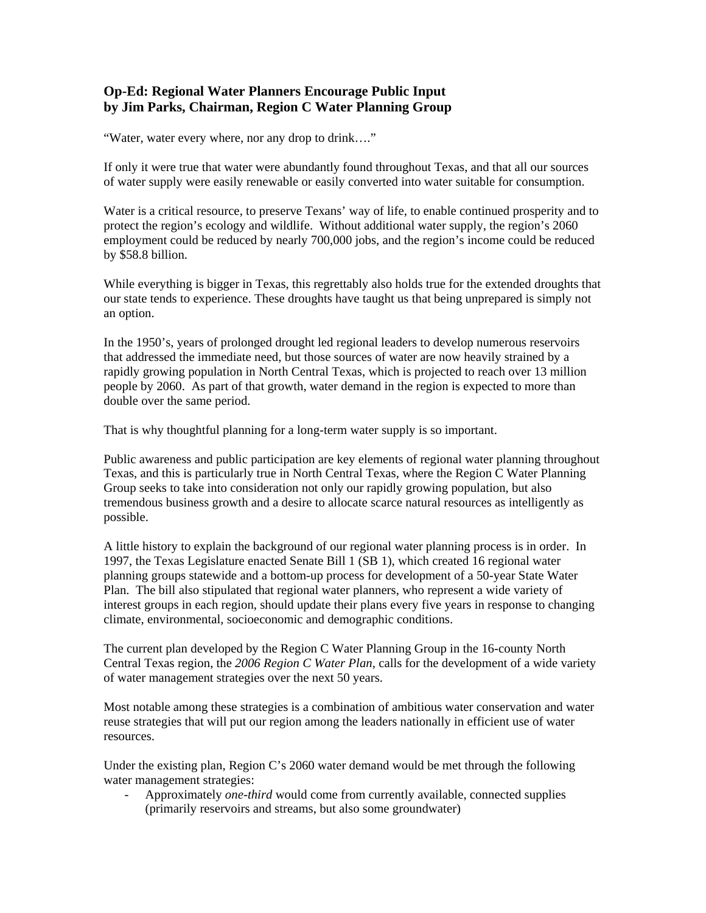## **Op-Ed: Regional Water Planners Encourage Public Input by Jim Parks, Chairman, Region C Water Planning Group**

"Water, water every where, nor any drop to drink…."

If only it were true that water were abundantly found throughout Texas, and that all our sources of water supply were easily renewable or easily converted into water suitable for consumption.

Water is a critical resource, to preserve Texans' way of life, to enable continued prosperity and to protect the region's ecology and wildlife. Without additional water supply, the region's 2060 employment could be reduced by nearly 700,000 jobs, and the region's income could be reduced by \$58.8 billion.

While everything is bigger in Texas, this regrettably also holds true for the extended droughts that our state tends to experience. These droughts have taught us that being unprepared is simply not an option.

In the 1950's, years of prolonged drought led regional leaders to develop numerous reservoirs that addressed the immediate need, but those sources of water are now heavily strained by a rapidly growing population in North Central Texas, which is projected to reach over 13 million people by 2060. As part of that growth, water demand in the region is expected to more than double over the same period.

That is why thoughtful planning for a long-term water supply is so important.

Public awareness and public participation are key elements of regional water planning throughout Texas, and this is particularly true in North Central Texas, where the Region C Water Planning Group seeks to take into consideration not only our rapidly growing population, but also tremendous business growth and a desire to allocate scarce natural resources as intelligently as possible.

A little history to explain the background of our regional water planning process is in order. In 1997, the Texas Legislature enacted Senate Bill 1 (SB 1), which created 16 regional water planning groups statewide and a bottom-up process for development of a 50-year State Water Plan. The bill also stipulated that regional water planners, who represent a wide variety of interest groups in each region, should update their plans every five years in response to changing climate, environmental, socioeconomic and demographic conditions.

The current plan developed by the Region C Water Planning Group in the 16-county North Central Texas region, the *2006 Region C Water Plan,* calls for the development of a wide variety of water management strategies over the next 50 years.

Most notable among these strategies is a combination of ambitious water conservation and water reuse strategies that will put our region among the leaders nationally in efficient use of water resources.

Under the existing plan, Region C's 2060 water demand would be met through the following water management strategies:

- Approximately *one-third* would come from currently available, connected supplies (primarily reservoirs and streams, but also some groundwater)